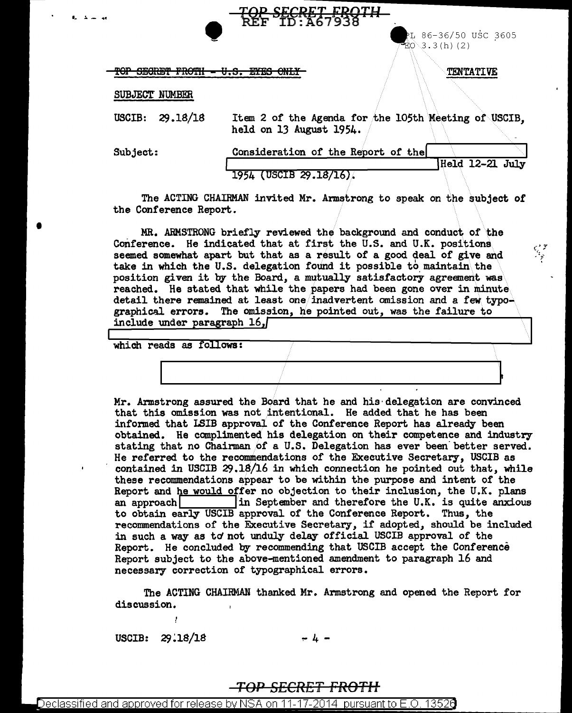| PL 86-36/50 USC 3605 |  |
|----------------------|--|
| $7EO3.3(h)$ (2)      |  |

#### TOP SECRET FROTH - U.S. EYES ONLY

**TENTATIVE** 

#### SUBJECT NUMBER

Item 2 of the Agenda for the 105th Meeting of USCIB. USCIB: 29.18/18 held on 13 August 1954.

Subject:

|                          | Consideration of the Report of the |  |                 |  |
|--------------------------|------------------------------------|--|-----------------|--|
|                          |                                    |  | Held 12-21 July |  |
| $1954$ (USCIB 29.18/16). |                                    |  |                 |  |

The ACTING CHAIRMAN invited Mr. Armstrong to speak on the subject of the Conference Report.

MR. ARMSTRONG briefly reviewed the background and conduct of the Conference. He indicated that at first the U.S. and U.K. positions seemed somewhat apart but that as a result of a good deal of give and take in which the U.S. delegation found it possible to maintain the position given it by the Board, a mutually satisfactory agreement was reached. He stated that while the papers had been gone over in minute detail there remained at least one inadvertent omission and a few typographical errors. The omission, he pointed out, was the failure to include under paragraph 16,

which reads as follows:

Mr. Armstrong assured the Board that he and his delegation are convinced that this omission was not intentional. He added that he has been informed that LSIB approval of the Conference Report has already been obtained. He complimented his delegation on their competence and industry stating that no Chairman of a U.S. Delegation has ever been better served. He referred to the recommendations of the Executive Secretary, USCIB as contained in USCIB 29,18/16 in which connection he pointed out that, while these recommendations appear to be within the purpose and intent of the Report and he would offer no objection to their inclusion, the U.K. plans in September and therefore the U.K. is quite anxious an approach| to obtain early USCIB approval of the Conference Report. Thus, the recommendations of the Executive Secretary, if adopted, should be included in such a way as to not unduly delay official USCIB approval of the Report. He concluded by recommending that USCIB accept the Conference Report subject to the above-mentioned amendment to paragraph 16 and necessary correction of typographical errors.

The ACTING CHAIRMAN thanked Mr. Armstrong and opened the Report for discussion.

USCIB:  $29.18/18$ 

 $-4 -$ 

## <del>TOP SECRET FROTH</del>

Declassified and approved for release by NSA on 11-17-2014 pursuant to E.O. 13526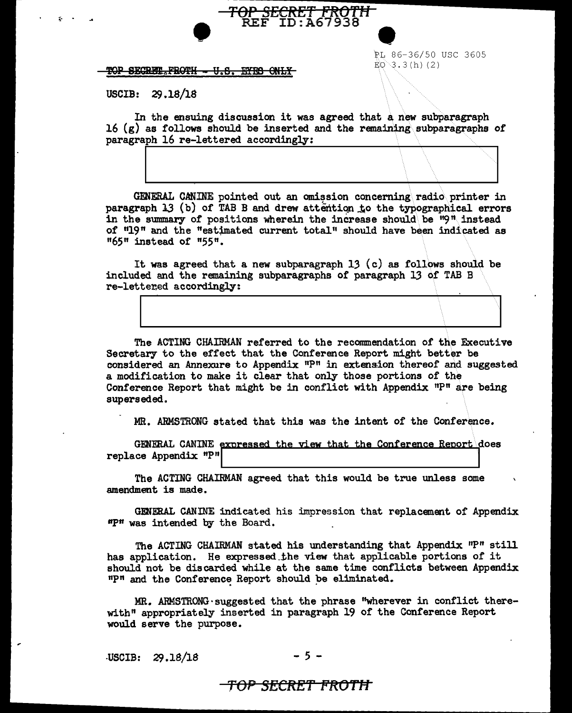$\bullet$   $\bullet$ <del>SECRET FROTH</del> REF ID:A67938

TOP SECRET FROTH - U.S. EYEB ONLY

 $PL 86-36/50$  USC 3605  $E_0$  3.3 (h) (2)

 $USCIB: 29.18/18$ 

I

;:-

In the ensuing discussion it was agreed that a new subparagraph 16  $(g)$  as follows should be inserted and the remaining subparagraphs of paragraph 16 re-lettered accordingly:

GENERAL CANINE pointed out an omission concerning\radio\printer in paragraph  $13$  (b) of TAB B and drew attention to the typographical errors in the summary of positions wherein the increase should be  $\mathbb{I}^{9}$  ''9" instead of "19" and the "estimated current total" should have been indicated as  $^{\mathsf{H}}$  65" instead of  $^{\mathsf{H}}$ 55".

It was agreed that a new subparagraph 13 (c) as follows should be included and the remaining subparagraphs of paragraph 13 of TAB B re-lettered accordingly:

The ACTING CHAIRMAN ref erred to the recommendation of the Executive Secretary to the effect that the Conference Report might better be considered an Annexure to Appendix "P" in extension thereof and suggested a modification to make it clear that only those portions of the Conference Report that might be in conflict with Appendix "P" are being superseded.

MR. ARMSTRONG stated that this was the intent of the Conference.

GENERAL CANINE expressed the view that the Conference Report does replace Appendix  $n_p$  1

The ACTING CHAIRMAN agreed that this would be true unless some amendment is made.

GENERAL CANINE indicated his impression that replacement of Appendix apn was intended by the Board.

The ACTING CHAIRMAN stated his understanding that Appendix "P" still has application. He expressed.the view that applicable portions of it should not be discarded while at the same time conflicts between Appendix npn and the Conference Report should be eliminated. . .

MR. ARMSTRONG· suggested that the phrase "wherever in conflict therewith" appropriately inserted in paragraph 19 of the Conference Report would serve the purpose.

 $-5 -$ 

## '<del>OP SECRET FROTH</del>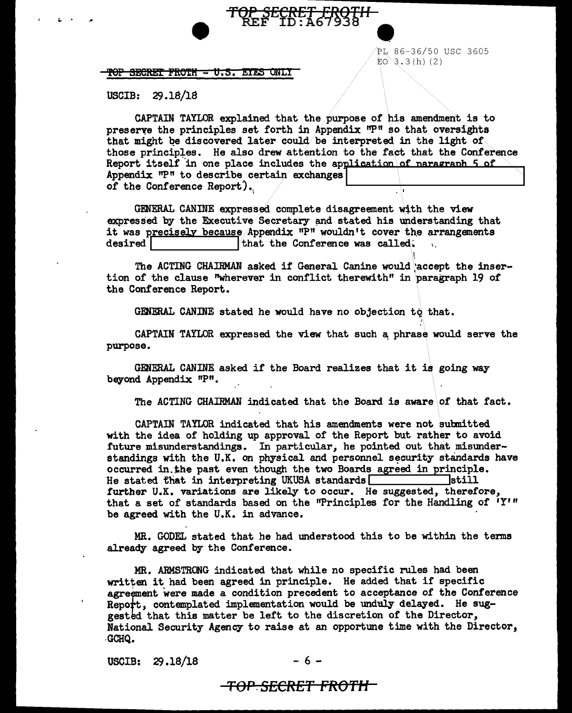PL 86-36/50 USC 3605  $EO^3.3(h)$  (2)

#### TOP SECRET FROTH - U.S. ETES ONLY

USCIB: 29.18/18

CAPTAIN TAYLOR explained that the/purpose of his amendment is to preserve the principles set forth in Appendix  $"P"$  so that oversights that might be discovered later could be interpreted in the light of those principles. He also drew attention to the fact that the Conference Report itself in one place includes the application of paragraph 5 of Appendix "P" to describe certain exchanges **later of the Conference Report**).

*'fOP SECREP!ft.Bpl* 

GENERAL CANINE expressed complete disagreement with the view expressed by the Executive Secretary and stated his understanding that it was precisely because Appendix  $P^{\text{th}}$  wouldn't cover the arrangements desired  $\begin{bmatrix} 1 & 0 & 0 \\ 0 & 1 & 0 \\ 0 & 0 & 0 \end{bmatrix}$  that the Conference was called. that the Conference was called.

The ACTING CHAIRMAN asked if General Canine would accept the insertion of the clause "wherever in conflict therewith" in paragraph 19 of the Conference Report.

GENERAL CANINE stated he would have no objection to that.

CAPTAIN TAYLOR expressed the view that such a phrase would serve the purpose.

GENERAL CANINE asked if the Board realizes that it is going way beyond Appendix "P".

The ACTING CHAIRMAN indicated that the Board is aware\of that fact.

CAPTAIN TAYLOR indicated that his amendments were not subnitted with the idea of holding up approval of the Report but rather to avoid future misunderstandings. In particular, he pointed out that misunderstandings with the U.K. on physical and personnel security standards have occurred in.the past even though the two Boards agreed in principle.<br>He stated that in interpreting UKUSA standards He stated that in interpreting UKUSA standards  $\Box$ further U.K. variations are likely to occur. He suggested, therefore, that a set of standards based on the "Principles for the Handling of 1Y'" be agreed with the U.K. in advance.

MR. GODEL stated that he had understood this to be within the terms already agreed by the Conference.

MR. ARMSTRONG indicated that while no specific rules had been written it had been agreed in principle. He added that if specific agreement were made a condition precedent to acceptance of the Conference Report, contemplated implementation would be unduly delayed. He suggested that this matter be left to the discretion of the Director, National Security Agency to raise at an opportune time with the Director, -GCHQ.

 $USCIB: 29.18/18$  - 6 -

*TOP.SECRET FRO'fH*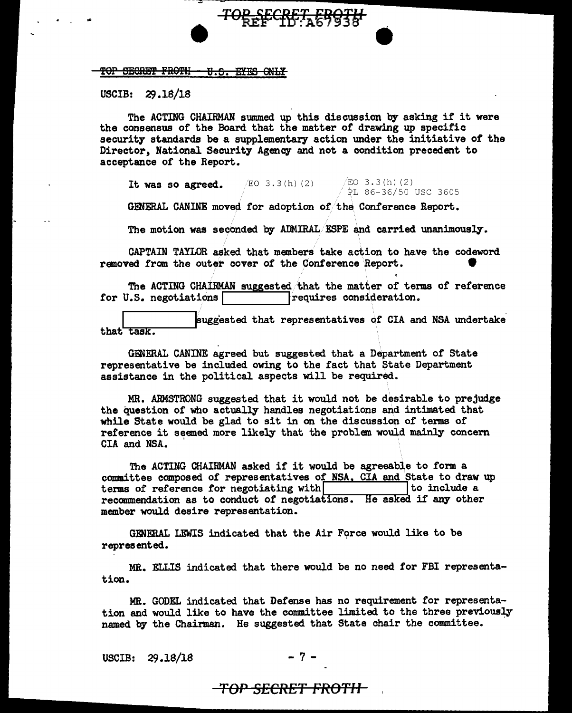# $\bullet$   $\bullet$ TOP SECRET FROTH U.S. EYES ONLY

USCIB: 29.18/18

The ACTING CHAIRMAN summed up this discussion by asking if it were the consensus of the Board that the matter of drawing up specific security standards be a supplementary action under the initiative of the Director, National Security Agency and not a condition precedent to acceptance or the Report.

It was so agreed.  $/ED(3.3(h)(2))$   $/ED(3.3(h)(2))$ PL 86-36/50 USC 3605 GENERAL CANINE moved for adoption of/the Conference Report.

The motion was seconded by ADMIRAL/ESPE and carried unanimously.

CAPTAIN TAYLOR asked that members take action to have the codeword removed from the outer cover of the Conference Report.

The ACTING CHAIRMAN suggested that the matter of terms of reference  $\mathcal{L}_s$ , negotiations  $\begin{bmatrix} \text{requires} \end{bmatrix}$  consideration. for U.S. negotiations  $\Box$ 

suggested that representatives of CIA and NSA undertake. that task.

GENERAL CANINE agreed but suggested that a Department of State representative be included owing to the fact that State Department assistance in the political aspects will be required.

MR. ARMSTRONG suggested that it would not be desirable to prejudge the question of who actually handles negotiations and intimated that while State would be glad to sit in on the discussion of terms of reference it seemed more likely that the problem would mainly concem CIA and NSA.

The ACTING CHAIRMAN asked if it would be agreeable to form a committee composed of representatives of NSA,  $CIA$  and State to draw up terms of reference for negotiating with  $\vert$  to include a terms of reference for negotiating with recommendation as to conduct of negotiations. He asked if any other member would desire representation.

GENERAL LEWIS indicated that the Air Force would like to be represented.

MR. ELLIS indicated that there would be no need for FBI representation.

MR. GODEL indicated that Defense has no requirement for representation and would like to have the committee limited to the three previously named by the Chairman. He suggested that State chair the committee.

 $USCIB: 29.18/18$  - 7 -

## *TOP SECRET FROnrl*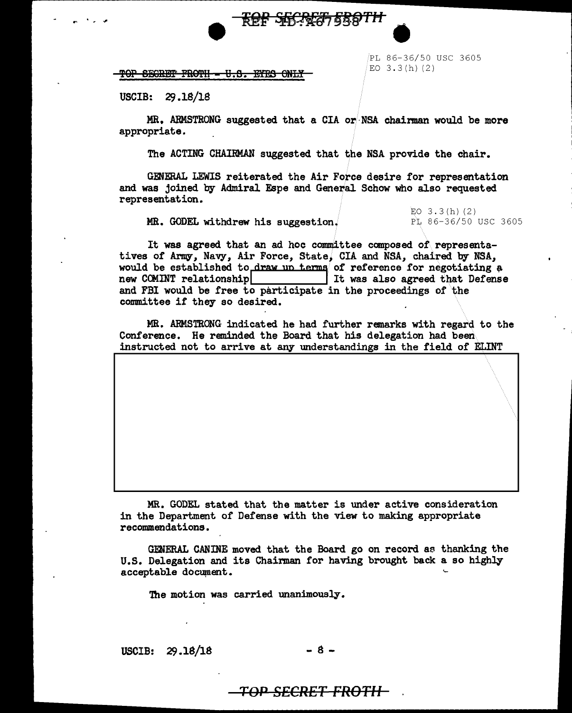PL 86-36/50 USC 3605 EO  $3.3(h)(2)$ 

TOP SECRET FROTH - U.S. ETES ONLY

USCIB: 29.18/18

. ....

MR. ARMSTRONG suggested that a CIA or·NSA chairman would be more appropriate.

<del>TOP SECRET, EBQTH</del>

The ACTING CHAIRMAN suggested that the NSA provide the chair.

GENERAL LEWIS reiterated the Air Force desire for representation and was joined by Admiral Espe and General Schow who also requested representation.

MR. GODEL withdrew his suggestion. PL 86-36/50 USC 3605

 $EO$  3.3 $(h)$  (2)

It was agreed that an ad hoc committee composed of representatives of Army, Navy, Air Force, State, CIA and NSA, chaired by NSA, would be established to draw up terms of reference for negotiating a new CCMINT relationship **EXECUTE:** It was also agreed that Defense and FBI would be free to participate in the proceedings of the committee if they so desired.

MR. ARMSTRONG indicated he had further remarks with regard to the Conference. He reminded the Board that his delegation had been instructed not to arrive at any understandings in the field of ELINT

MR. GODEL stated that the matter is under active consideration in the Department of Defense with the view to making appropriate recommendations.

GENERAL CANINE moved that the Board go on record as thanking the U.S. Delegation and its Chairman for having brought back a so highly acceptable document.

The motion was carried unanimously.

 $USCIB: 29.18/18$  - 8 -

## *TOP SECRET FROTll*